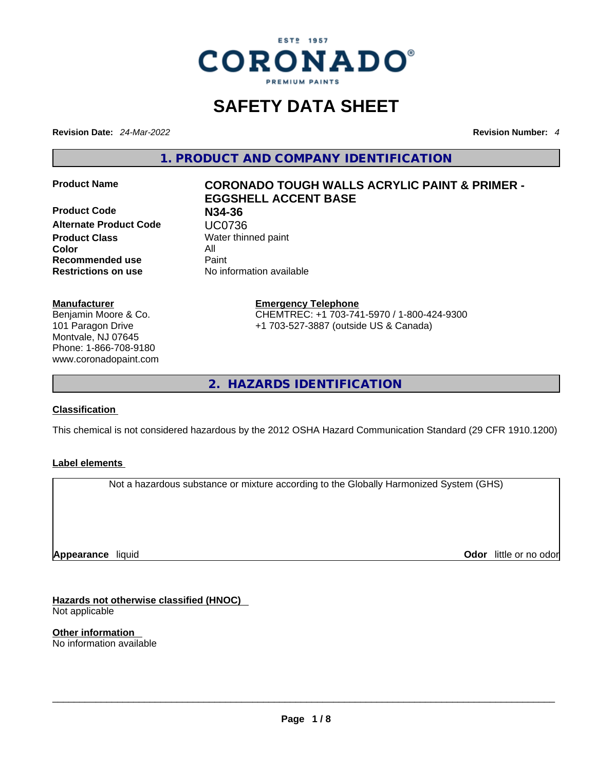

# **SAFETY DATA SHEET**

**Revision Date:** *24-Mar-2022* **Revision Number:** *4*

**1. PRODUCT AND COMPANY IDENTIFICATION** 

**Product Code N34-36 Alternate Product Code UC0736**<br> **Product Class** Water thin **Color** All **Recommended use** Paint **Restrictions on use** No information available

#### **Manufacturer**

Benjamin Moore & Co. 101 Paragon Drive Montvale, NJ 07645 Phone: 1-866-708-9180 www.coronadopaint.com

# **Product Name CORONADO TOUGH WALLS ACRYLIC PAINT & PRIMER - EGGSHELL ACCENT BASE**

**Water thinned paint** 

**Emergency Telephone** CHEMTREC: +1 703-741-5970 / 1-800-424-9300 +1 703-527-3887 (outside US & Canada)

**2. HAZARDS IDENTIFICATION** 

#### **Classification**

This chemical is not considered hazardous by the 2012 OSHA Hazard Communication Standard (29 CFR 1910.1200)

#### **Label elements**

Not a hazardous substance or mixture according to the Globally Harmonized System (GHS)

**Appearance** liquid

**Odor** little or no odor

**Hazards not otherwise classified (HNOC)**  Not applicable

**Other information**  No information available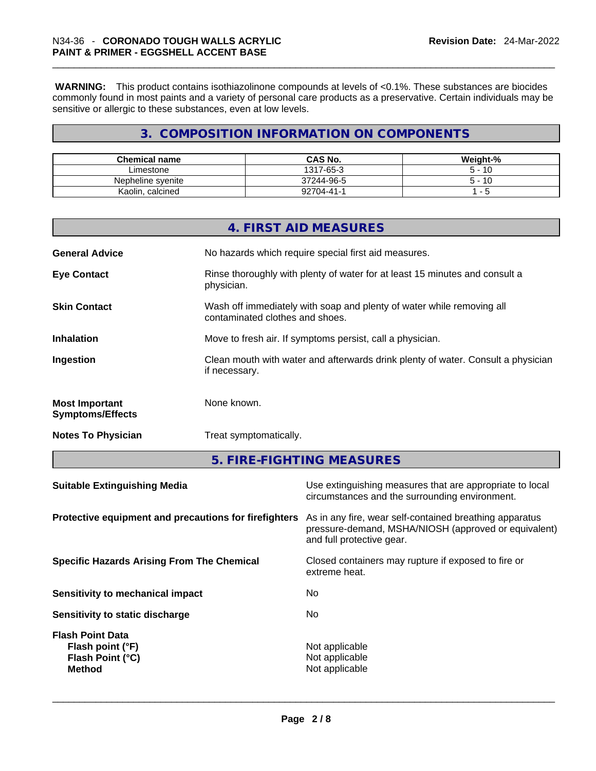**WARNING:** This product contains isothiazolinone compounds at levels of <0.1%. These substances are biocides commonly found in most paints and a variety of personal care products as a preservative. Certain individuals may be sensitive or allergic to these substances, even at low levels.

# **3. COMPOSITION INFORMATION ON COMPONENTS**

| <b>Chemical name</b> | <b>CAS No.</b> | Weight-%    |
|----------------------|----------------|-------------|
| Limestone            | 1317-65-3      | 10<br>$5 -$ |
| Nepheline svenite    | 37244-96-5     | 10<br>5 -   |
| Kaolin, calcined     | 92704-41-1     |             |

|                                                  | 4. FIRST AID MEASURES                                                                                    |
|--------------------------------------------------|----------------------------------------------------------------------------------------------------------|
| <b>General Advice</b>                            | No hazards which require special first aid measures.                                                     |
| <b>Eye Contact</b>                               | Rinse thoroughly with plenty of water for at least 15 minutes and consult a<br>physician.                |
| <b>Skin Contact</b>                              | Wash off immediately with soap and plenty of water while removing all<br>contaminated clothes and shoes. |
| <b>Inhalation</b>                                | Move to fresh air. If symptoms persist, call a physician.                                                |
| Ingestion                                        | Clean mouth with water and afterwards drink plenty of water. Consult a physician<br>if necessary.        |
| <b>Most Important</b><br><b>Symptoms/Effects</b> | None known.                                                                                              |
| <b>Notes To Physician</b>                        | Treat symptomatically.                                                                                   |
|                                                  |                                                                                                          |

**5. FIRE-FIGHTING MEASURES** 

| <b>Suitable Extinguishing Media</b>                                              | Use extinguishing measures that are appropriate to local<br>circumstances and the surrounding environment.                                   |
|----------------------------------------------------------------------------------|----------------------------------------------------------------------------------------------------------------------------------------------|
| Protective equipment and precautions for firefighters                            | As in any fire, wear self-contained breathing apparatus<br>pressure-demand, MSHA/NIOSH (approved or equivalent)<br>and full protective gear. |
| <b>Specific Hazards Arising From The Chemical</b>                                | Closed containers may rupture if exposed to fire or<br>extreme heat.                                                                         |
| Sensitivity to mechanical impact                                                 | No.                                                                                                                                          |
| Sensitivity to static discharge                                                  | No.                                                                                                                                          |
| <b>Flash Point Data</b><br>Flash point (°F)<br>Flash Point (°C)<br><b>Method</b> | Not applicable<br>Not applicable<br>Not applicable                                                                                           |
|                                                                                  |                                                                                                                                              |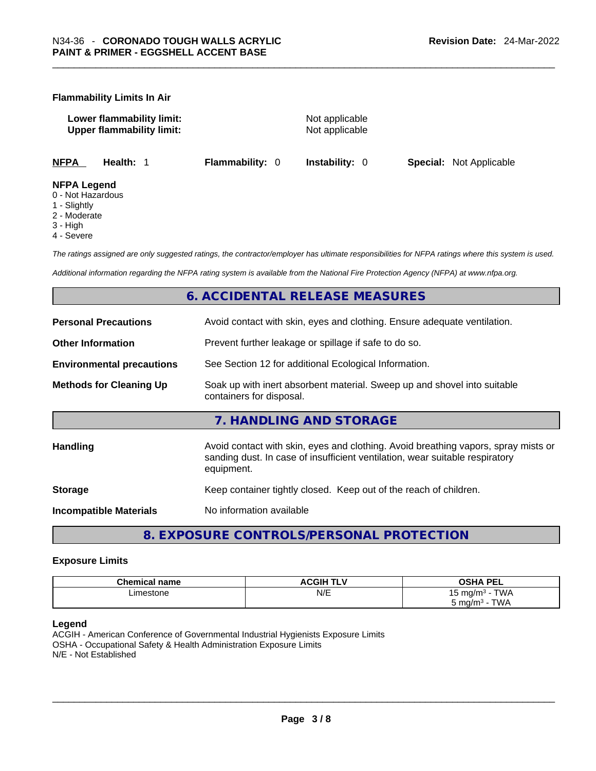#### **Flammability Limits In Air**

**Lower flammability limit:** Not applicable **Upper flammability limit:** Not applicable

**NFPA Health:** 1 **Flammability:** 0 **Instability:** 0 **Special:** Not Applicable

#### **NFPA Legend**

- 0 Not Hazardous
- 1 Slightly
- 2 Moderate
- 3 High
- 4 Severe

*The ratings assigned are only suggested ratings, the contractor/employer has ultimate responsibilities for NFPA ratings where this system is used.* 

*Additional information regarding the NFPA rating system is available from the National Fire Protection Agency (NFPA) at www.nfpa.org.* 

# **6. ACCIDENTAL RELEASE MEASURES**

| <b>Personal Precautions</b>      | Avoid contact with skin, eyes and clothing. Ensure adequate ventilation.                                                                                                         |
|----------------------------------|----------------------------------------------------------------------------------------------------------------------------------------------------------------------------------|
| <b>Other Information</b>         | Prevent further leakage or spillage if safe to do so.                                                                                                                            |
| <b>Environmental precautions</b> | See Section 12 for additional Ecological Information.                                                                                                                            |
| <b>Methods for Cleaning Up</b>   | Soak up with inert absorbent material. Sweep up and shovel into suitable<br>containers for disposal.                                                                             |
|                                  | 7. HANDLING AND STORAGE                                                                                                                                                          |
| <b>Handling</b>                  | Avoid contact with skin, eyes and clothing. Avoid breathing vapors, spray mists or<br>sanding dust. In case of insufficient ventilation, wear suitable respiratory<br>equipment. |
| <b>Storage</b>                   | Keep container tightly closed. Keep out of the reach of children.                                                                                                                |
| <b>Incompatible Materials</b>    | No information available                                                                                                                                                         |

**8. EXPOSURE CONTROLS/PERSONAL PROTECTION** 

#### **Exposure Limits**

| <b>Chemical name</b> | <b>ACGIH TLV</b> | <b>OSHA PEL</b><br>--     |
|----------------------|------------------|---------------------------|
| -imestone<br>.       | N/E              | $T$ $M$<br>ั mɑ/m∘ -<br>ີ |
|                      |                  | TWA<br>∸mg/m ل<br>$\sim$  |

#### **Legend**

ACGIH - American Conference of Governmental Industrial Hygienists Exposure Limits OSHA - Occupational Safety & Health Administration Exposure Limits N/E - Not Established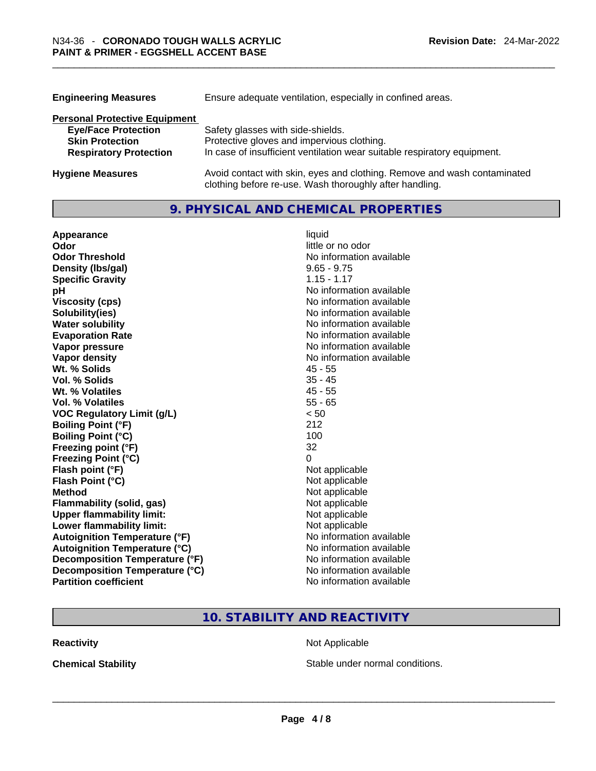| <b>Engineering Measures</b>          | Ensure adequate ventilation, especially in confined areas.                                                                          |  |  |
|--------------------------------------|-------------------------------------------------------------------------------------------------------------------------------------|--|--|
| <b>Personal Protective Equipment</b> |                                                                                                                                     |  |  |
| <b>Eye/Face Protection</b>           | Safety glasses with side-shields.                                                                                                   |  |  |
| <b>Skin Protection</b>               | Protective gloves and impervious clothing.                                                                                          |  |  |
| <b>Respiratory Protection</b>        | In case of insufficient ventilation wear suitable respiratory equipment.                                                            |  |  |
| <b>Hygiene Measures</b>              | Avoid contact with skin, eyes and clothing. Remove and wash contaminated<br>clothing before re-use. Wash thoroughly after handling. |  |  |

### **9. PHYSICAL AND CHEMICAL PROPERTIES**

| Appearance                           | liquid                   |
|--------------------------------------|--------------------------|
| Odor                                 | little or no odor        |
| <b>Odor Threshold</b>                | No information available |
| Density (Ibs/gal)                    | $9.65 - 9.75$            |
| <b>Specific Gravity</b>              | $1.15 - 1.17$            |
| рH                                   | No information available |
| <b>Viscosity (cps)</b>               | No information available |
| Solubility(ies)                      | No information available |
| <b>Water solubility</b>              | No information available |
| <b>Evaporation Rate</b>              | No information available |
| Vapor pressure                       | No information available |
| Vapor density                        | No information available |
| Wt. % Solids                         | $45 - 55$                |
| Vol. % Solids                        | $35 - 45$                |
| Wt. % Volatiles                      | $45 - 55$                |
| Vol. % Volatiles                     | $55 - 65$                |
| <b>VOC Regulatory Limit (g/L)</b>    | < 50                     |
| <b>Boiling Point (°F)</b>            | 212                      |
| <b>Boiling Point (°C)</b>            | 100                      |
| Freezing point (°F)                  | 32                       |
| <b>Freezing Point (°C)</b>           | 0                        |
| Flash point (°F)                     | Not applicable           |
| Flash Point (°C)                     | Not applicable           |
| <b>Method</b>                        | Not applicable           |
| <b>Flammability (solid, gas)</b>     | Not applicable           |
| <b>Upper flammability limit:</b>     | Not applicable           |
| <b>Lower flammability limit:</b>     | Not applicable           |
| <b>Autoignition Temperature (°F)</b> | No information available |
| <b>Autoignition Temperature (°C)</b> | No information available |
| Decomposition Temperature (°F)       | No information available |
| Decomposition Temperature (°C)       | No information available |
| <b>Partition coefficient</b>         | No information available |

# **10. STABILITY AND REACTIVITY**

**Reactivity Not Applicable** 

**Chemical Stability Stable under normal conditions. Chemical Stability Stable under normal conditions. Chemical Stability Chemical Stability Chemical Stability Chemical Stability Chemical Stability Chemic**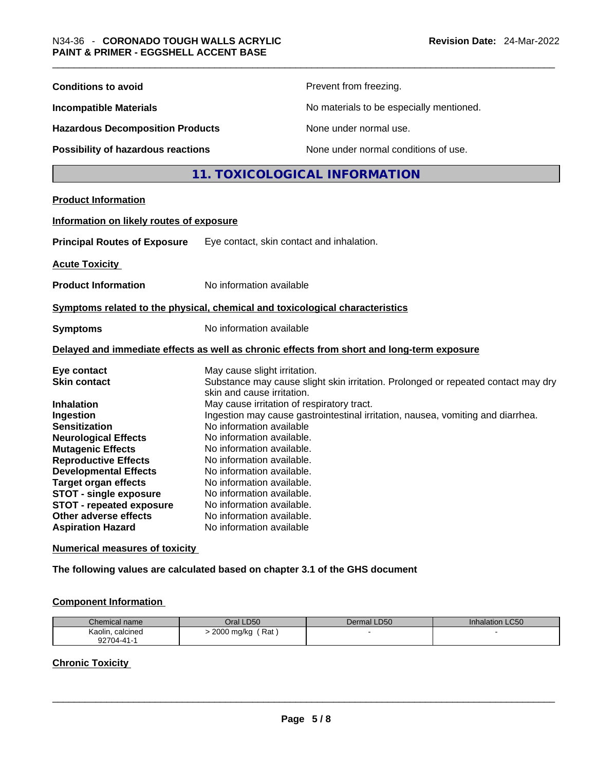| Prevent from freezing.<br><b>Conditions to avoid</b><br>No materials to be especially mentioned.<br><b>Incompatible Materials</b><br>None under normal use.<br><b>Hazardous Decomposition Products</b><br>Possibility of hazardous reactions<br>None under normal conditions of use.<br>11. TOXICOLOGICAL INFORMATION<br><b>Product Information</b><br>Information on likely routes of exposure<br><b>Principal Routes of Exposure</b><br>Eye contact, skin contact and inhalation.<br><b>Acute Toxicity</b><br>No information available<br><b>Product Information</b><br>Symptoms related to the physical, chemical and toxicological characteristics<br>No information available<br><b>Symptoms</b><br>Delayed and immediate effects as well as chronic effects from short and long-term exposure<br>May cause slight irritation.<br>Eye contact<br><b>Skin contact</b><br>Substance may cause slight skin irritation. Prolonged or repeated contact may dry<br>skin and cause irritation.<br>May cause irritation of respiratory tract.<br><b>Inhalation</b><br>Ingestion may cause gastrointestinal irritation, nausea, vomiting and diarrhea.<br>Ingestion<br>No information available<br><b>Sensitization</b><br>No information available.<br><b>Neurological Effects</b><br><b>Mutagenic Effects</b><br>No information available.<br><b>Reproductive Effects</b><br>No information available.<br><b>Developmental Effects</b><br>No information available.<br><b>Target organ effects</b><br>No information available.<br><b>STOT - single exposure</b><br>No information available.<br><b>STOT - repeated exposure</b><br>No information available.<br>Other adverse effects<br>No information available.<br><b>Aspiration Hazard</b><br>No information available |  |  |  |
|---------------------------------------------------------------------------------------------------------------------------------------------------------------------------------------------------------------------------------------------------------------------------------------------------------------------------------------------------------------------------------------------------------------------------------------------------------------------------------------------------------------------------------------------------------------------------------------------------------------------------------------------------------------------------------------------------------------------------------------------------------------------------------------------------------------------------------------------------------------------------------------------------------------------------------------------------------------------------------------------------------------------------------------------------------------------------------------------------------------------------------------------------------------------------------------------------------------------------------------------------------------------------------------------------------------------------------------------------------------------------------------------------------------------------------------------------------------------------------------------------------------------------------------------------------------------------------------------------------------------------------------------------------------------------------------------------------------------------------------------------------------------------|--|--|--|
|                                                                                                                                                                                                                                                                                                                                                                                                                                                                                                                                                                                                                                                                                                                                                                                                                                                                                                                                                                                                                                                                                                                                                                                                                                                                                                                                                                                                                                                                                                                                                                                                                                                                                                                                                                           |  |  |  |
|                                                                                                                                                                                                                                                                                                                                                                                                                                                                                                                                                                                                                                                                                                                                                                                                                                                                                                                                                                                                                                                                                                                                                                                                                                                                                                                                                                                                                                                                                                                                                                                                                                                                                                                                                                           |  |  |  |
|                                                                                                                                                                                                                                                                                                                                                                                                                                                                                                                                                                                                                                                                                                                                                                                                                                                                                                                                                                                                                                                                                                                                                                                                                                                                                                                                                                                                                                                                                                                                                                                                                                                                                                                                                                           |  |  |  |
|                                                                                                                                                                                                                                                                                                                                                                                                                                                                                                                                                                                                                                                                                                                                                                                                                                                                                                                                                                                                                                                                                                                                                                                                                                                                                                                                                                                                                                                                                                                                                                                                                                                                                                                                                                           |  |  |  |
|                                                                                                                                                                                                                                                                                                                                                                                                                                                                                                                                                                                                                                                                                                                                                                                                                                                                                                                                                                                                                                                                                                                                                                                                                                                                                                                                                                                                                                                                                                                                                                                                                                                                                                                                                                           |  |  |  |
|                                                                                                                                                                                                                                                                                                                                                                                                                                                                                                                                                                                                                                                                                                                                                                                                                                                                                                                                                                                                                                                                                                                                                                                                                                                                                                                                                                                                                                                                                                                                                                                                                                                                                                                                                                           |  |  |  |
|                                                                                                                                                                                                                                                                                                                                                                                                                                                                                                                                                                                                                                                                                                                                                                                                                                                                                                                                                                                                                                                                                                                                                                                                                                                                                                                                                                                                                                                                                                                                                                                                                                                                                                                                                                           |  |  |  |
|                                                                                                                                                                                                                                                                                                                                                                                                                                                                                                                                                                                                                                                                                                                                                                                                                                                                                                                                                                                                                                                                                                                                                                                                                                                                                                                                                                                                                                                                                                                                                                                                                                                                                                                                                                           |  |  |  |
|                                                                                                                                                                                                                                                                                                                                                                                                                                                                                                                                                                                                                                                                                                                                                                                                                                                                                                                                                                                                                                                                                                                                                                                                                                                                                                                                                                                                                                                                                                                                                                                                                                                                                                                                                                           |  |  |  |
|                                                                                                                                                                                                                                                                                                                                                                                                                                                                                                                                                                                                                                                                                                                                                                                                                                                                                                                                                                                                                                                                                                                                                                                                                                                                                                                                                                                                                                                                                                                                                                                                                                                                                                                                                                           |  |  |  |
|                                                                                                                                                                                                                                                                                                                                                                                                                                                                                                                                                                                                                                                                                                                                                                                                                                                                                                                                                                                                                                                                                                                                                                                                                                                                                                                                                                                                                                                                                                                                                                                                                                                                                                                                                                           |  |  |  |
|                                                                                                                                                                                                                                                                                                                                                                                                                                                                                                                                                                                                                                                                                                                                                                                                                                                                                                                                                                                                                                                                                                                                                                                                                                                                                                                                                                                                                                                                                                                                                                                                                                                                                                                                                                           |  |  |  |
|                                                                                                                                                                                                                                                                                                                                                                                                                                                                                                                                                                                                                                                                                                                                                                                                                                                                                                                                                                                                                                                                                                                                                                                                                                                                                                                                                                                                                                                                                                                                                                                                                                                                                                                                                                           |  |  |  |
|                                                                                                                                                                                                                                                                                                                                                                                                                                                                                                                                                                                                                                                                                                                                                                                                                                                                                                                                                                                                                                                                                                                                                                                                                                                                                                                                                                                                                                                                                                                                                                                                                                                                                                                                                                           |  |  |  |
|                                                                                                                                                                                                                                                                                                                                                                                                                                                                                                                                                                                                                                                                                                                                                                                                                                                                                                                                                                                                                                                                                                                                                                                                                                                                                                                                                                                                                                                                                                                                                                                                                                                                                                                                                                           |  |  |  |
| Numerical measures of toxicity                                                                                                                                                                                                                                                                                                                                                                                                                                                                                                                                                                                                                                                                                                                                                                                                                                                                                                                                                                                                                                                                                                                                                                                                                                                                                                                                                                                                                                                                                                                                                                                                                                                                                                                                            |  |  |  |

**The following values are calculated based on chapter 3.1 of the GHS document**

# **Component Information**

| Chemical name    | Oral LD50             | Dermal LD50 | <b>Inhalation LC50</b> |
|------------------|-----------------------|-------------|------------------------|
| Kaolin, calcined | . Rat :<br>2000 mg/kg |             |                        |
| 92704-41-1       |                       |             |                        |

# **Chronic Toxicity**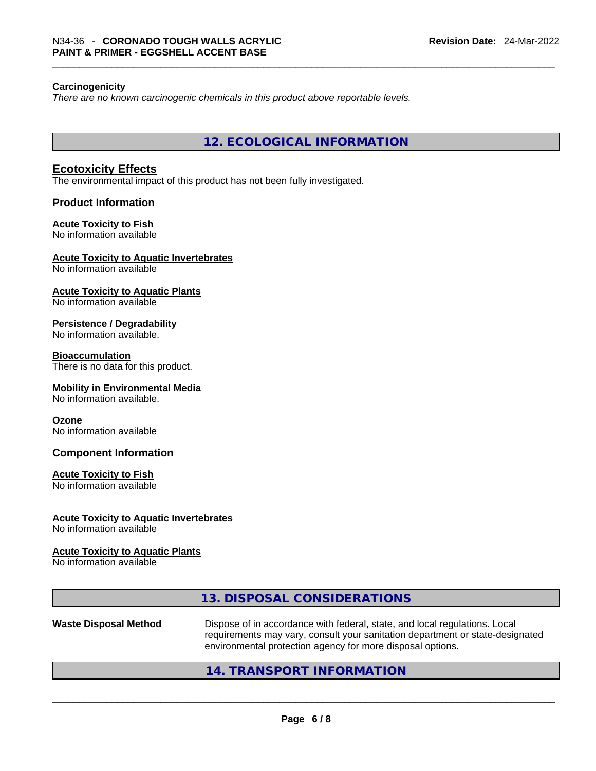#### **Carcinogenicity**

*There are no known carcinogenic chemicals in this product above reportable levels.* 

**12. ECOLOGICAL INFORMATION** 

### **Ecotoxicity Effects**

The environmental impact of this product has not been fully investigated.

#### **Product Information**

#### **Acute Toxicity to Fish**

No information available

#### **Acute Toxicity to Aquatic Invertebrates**

No information available

# **Acute Toxicity to Aquatic Plants**

No information available

#### **Persistence / Degradability**

No information available.

#### **Bioaccumulation**

There is no data for this product.

#### **Mobility in Environmental Media**

No information available.

#### **Ozone**

No information available

#### **Component Information**

#### **Acute Toxicity to Fish**

No information available

#### **Acute Toxicity to Aquatic Invertebrates**

No information available

#### **Acute Toxicity to Aquatic Plants**

No information available

# **13. DISPOSAL CONSIDERATIONS**

**Waste Disposal Method** Dispose of in accordance with federal, state, and local regulations. Local requirements may vary, consult your sanitation department or state-designated environmental protection agency for more disposal options.<br>214. TRANSPORT INFORMATION

# **14. TRANSPORT INFORMATION**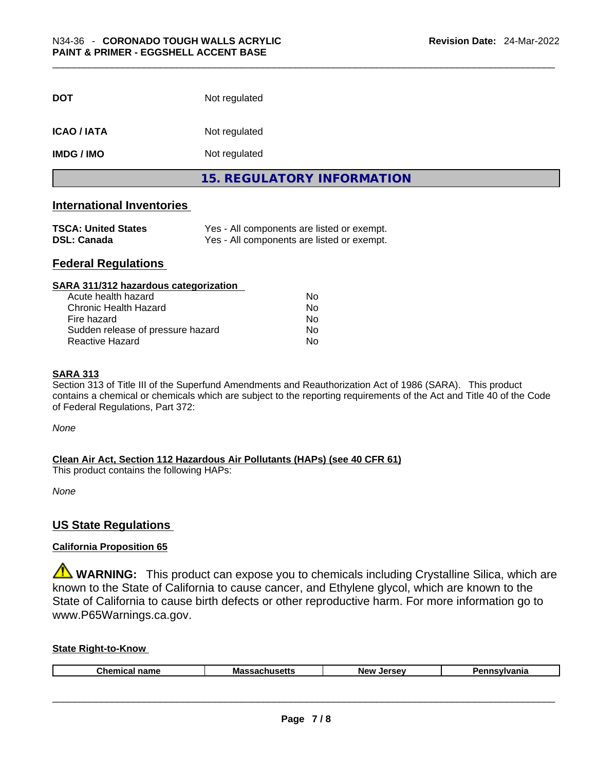| <b>DOT</b>        | Not regulated              |  |
|-------------------|----------------------------|--|
|                   |                            |  |
| <b>ICAO/IATA</b>  | Not regulated              |  |
| <b>IMDG / IMO</b> | Not regulated              |  |
|                   | 15. REGULATORY INFORMATION |  |

### **International Inventories**

| <b>TSCA: United States</b> | Yes - All components are listed or exempt. |
|----------------------------|--------------------------------------------|
| <b>DSL: Canada</b>         | Yes - All components are listed or exempt. |

### **Federal Regulations**

| SARA 311/312 hazardous categorization |    |  |
|---------------------------------------|----|--|
| Acute health hazard                   | Nο |  |
| Chronic Health Hazard                 | No |  |
| Fire hazard                           | No |  |
| Sudden release of pressure hazard     | No |  |
| Reactive Hazard                       | No |  |

#### **SARA 313**

Section 313 of Title III of the Superfund Amendments and Reauthorization Act of 1986 (SARA). This product contains a chemical or chemicals which are subject to the reporting requirements of the Act and Title 40 of the Code of Federal Regulations, Part 372:

*None*

**Clean Air Act,Section 112 Hazardous Air Pollutants (HAPs) (see 40 CFR 61)**

This product contains the following HAPs:

*None*

# **US State Regulations**

#### **California Proposition 65**

WARNING: This product can expose you to chemicals including Crystalline Silica, which are known to the State of California to cause cancer, and Ethylene glycol, which are known to the State of California to cause birth defects or other reproductive harm. For more information go to www.P65Warnings.ca.gov.

#### **State Right-to-Know**

| Chemical<br>$n = m$<br>name | .<br>ма<br>"sen. | <b>New</b><br><b>Jersev</b> | ----<br>ша |
|-----------------------------|------------------|-----------------------------|------------|
|                             |                  |                             |            |